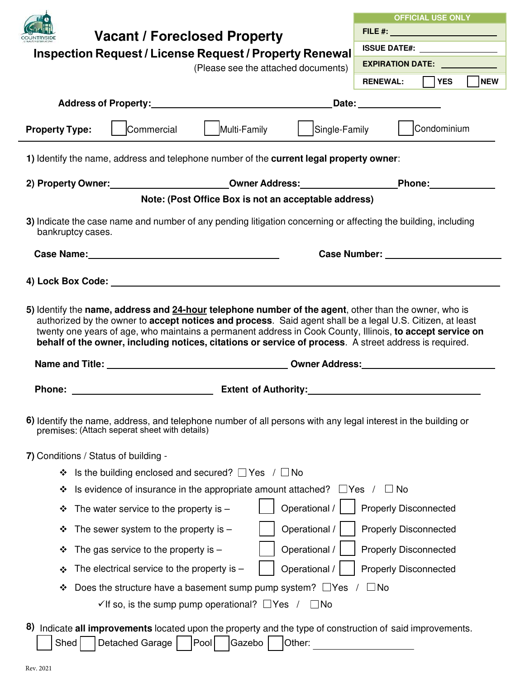|                                                                                                                                                                                                                                                                                                                                                                                                                                           | <b>OFFICIAL USE ONLY</b>                                                                                                                                                                                                       |  |  |  |
|-------------------------------------------------------------------------------------------------------------------------------------------------------------------------------------------------------------------------------------------------------------------------------------------------------------------------------------------------------------------------------------------------------------------------------------------|--------------------------------------------------------------------------------------------------------------------------------------------------------------------------------------------------------------------------------|--|--|--|
| <b>Vacant / Foreclosed Property</b>                                                                                                                                                                                                                                                                                                                                                                                                       | FILE #: __________________________                                                                                                                                                                                             |  |  |  |
| Inspection Request / License Request / Property Renewal                                                                                                                                                                                                                                                                                                                                                                                   | <b>ISSUE DATE#:</b> __________________                                                                                                                                                                                         |  |  |  |
| (Please see the attached documents)                                                                                                                                                                                                                                                                                                                                                                                                       | <b>EXPIRATION DATE:</b>                                                                                                                                                                                                        |  |  |  |
|                                                                                                                                                                                                                                                                                                                                                                                                                                           | NEW<br>│ │YES<br><b>RENEWAL:</b>                                                                                                                                                                                               |  |  |  |
|                                                                                                                                                                                                                                                                                                                                                                                                                                           | Date: the contract of the contract of the contract of the contract of the contract of the contract of the contract of the contract of the contract of the contract of the contract of the contract of the contract of the cont |  |  |  |
| Multi-Family<br>Commercial<br><b>Property Type:</b>                                                                                                                                                                                                                                                                                                                                                                                       | Single-Family   Condominium                                                                                                                                                                                                    |  |  |  |
| 1) Identify the name, address and telephone number of the current legal property owner:                                                                                                                                                                                                                                                                                                                                                   |                                                                                                                                                                                                                                |  |  |  |
| 2) Property Owner: __________________________Owner Address: ____________________Phone: _____________                                                                                                                                                                                                                                                                                                                                      |                                                                                                                                                                                                                                |  |  |  |
| Note: (Post Office Box is not an acceptable address)                                                                                                                                                                                                                                                                                                                                                                                      |                                                                                                                                                                                                                                |  |  |  |
| 3) Indicate the case name and number of any pending litigation concerning or affecting the building, including<br>bankruptcy cases.                                                                                                                                                                                                                                                                                                       |                                                                                                                                                                                                                                |  |  |  |
|                                                                                                                                                                                                                                                                                                                                                                                                                                           |                                                                                                                                                                                                                                |  |  |  |
|                                                                                                                                                                                                                                                                                                                                                                                                                                           |                                                                                                                                                                                                                                |  |  |  |
|                                                                                                                                                                                                                                                                                                                                                                                                                                           |                                                                                                                                                                                                                                |  |  |  |
| 5) Identify the name, address and 24-hour telephone number of the agent, other than the owner, who is<br>authorized by the owner to accept notices and process. Said agent shall be a legal U.S. Citizen, at least<br>twenty one years of age, who maintains a permanent address in Cook County, Illinois, to accept service on<br>behalf of the owner, including notices, citations or service of process. A street address is required. |                                                                                                                                                                                                                                |  |  |  |
|                                                                                                                                                                                                                                                                                                                                                                                                                                           |                                                                                                                                                                                                                                |  |  |  |
| <b>Extent of Authority:</b><br><b>Phone:</b>                                                                                                                                                                                                                                                                                                                                                                                              |                                                                                                                                                                                                                                |  |  |  |
|                                                                                                                                                                                                                                                                                                                                                                                                                                           |                                                                                                                                                                                                                                |  |  |  |
| 6) Identify the name, address, and telephone number of all persons with any legal interest in the building or<br>premises: (Attach seperat sheet with details)                                                                                                                                                                                                                                                                            |                                                                                                                                                                                                                                |  |  |  |
| 7) Conditions / Status of building -                                                                                                                                                                                                                                                                                                                                                                                                      |                                                                                                                                                                                                                                |  |  |  |
| Is the building enclosed and secured? $\Box$ Yes / $\Box$ No<br>❖                                                                                                                                                                                                                                                                                                                                                                         |                                                                                                                                                                                                                                |  |  |  |
| Is evidence of insurance in the appropriate amount attached? $\Box$ Yes<br>❖                                                                                                                                                                                                                                                                                                                                                              | $\Box$ No                                                                                                                                                                                                                      |  |  |  |
| Operational /<br>The water service to the property is $-$<br>❖                                                                                                                                                                                                                                                                                                                                                                            | <b>Properly Disconnected</b>                                                                                                                                                                                                   |  |  |  |
| Operational /<br>The sewer system to the property is $-$<br>❖                                                                                                                                                                                                                                                                                                                                                                             | <b>Properly Disconnected</b>                                                                                                                                                                                                   |  |  |  |
| Operational /<br>The gas service to the property is $-$<br>❖                                                                                                                                                                                                                                                                                                                                                                              | <b>Properly Disconnected</b>                                                                                                                                                                                                   |  |  |  |
| The electrical service to the property is $-$<br>Operational /<br>❖                                                                                                                                                                                                                                                                                                                                                                       | <b>Properly Disconnected</b>                                                                                                                                                                                                   |  |  |  |
| Does the structure have a basement sump pump system? $\Box$ Yes<br>❖                                                                                                                                                                                                                                                                                                                                                                      | ⊿No                                                                                                                                                                                                                            |  |  |  |
| $\checkmark$ If so, is the sump pump operational? $\Box$ Yes /<br>$\Box$ No                                                                                                                                                                                                                                                                                                                                                               |                                                                                                                                                                                                                                |  |  |  |
| 8)<br>Indicate all improvements located upon the property and the type of construction of said improvements.<br>Pool<br>Shed<br>Detached Garage<br>Gazebo<br>Other:                                                                                                                                                                                                                                                                       |                                                                                                                                                                                                                                |  |  |  |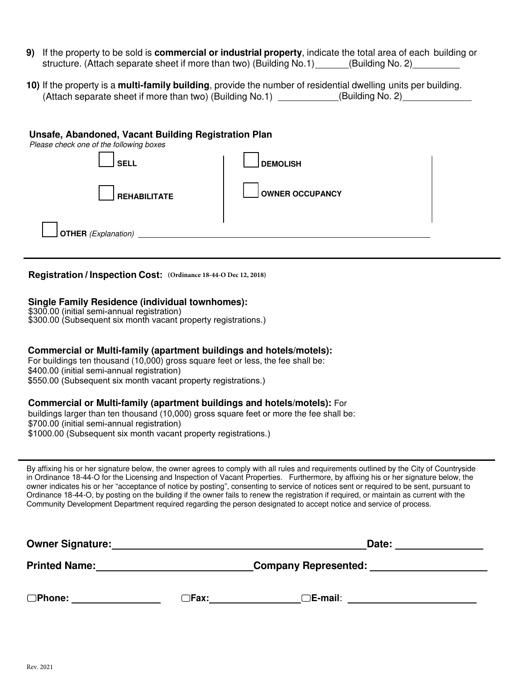- **9)** If the property to be sold is **commercial or industrial property**, indicate the total area of each building or structure. (Attach separate sheet if more than two) (Building No.1) (Building No. 2)
- **10)** If the property is a **multi-family building**, provide the number of residential dwelling units per building. (Attach separate sheet if more than two) (Building No.1) (Building No. 2)

#### **Unsafe, Abandoned, Vacant Building Registration Plan**

Please check one of the following boxes

| .<br><b>SELL</b>           | <b>DEMOLISH</b>        |
|----------------------------|------------------------|
| <b>REHABILITATE</b>        | <b>OWNER OCCUPANCY</b> |
| <b>OTHER</b> (Explanation) |                        |

**Registration / Inspection Cost: (Ordinance 18-44-O Dec 12, 2018)**

#### **Single Family Residence (individual townhomes):**

\$300.00 (initial semi-annual registration) \$300.00 (Subsequent six month vacant property registrations.)

### **Commercial or Multi-family (apartment buildings and hotels/motels):**

For buildings ten thousand (10,000) gross square feet or less, the fee shall be: \$400.00 (initial semi-annual registration) \$550.00 (Subsequent six month vacant property registrations.)

#### **Commercial or Multi-family (apartment buildings and hotels/motels):** For

buildings larger than ten thousand (10,000) gross square feet or more the fee shall be: \$700.00 (initial semi-annual registration) \$1000.00 (Subsequent six month vacant property registrations.)

By affixing his or her signature below, the owner agrees to comply with all rules and requirements outlined by the City of Countryside in Ordinance 18-44-O for the Licensing and Inspection of Vacant Properties. Furthermore, by affixing his or her signature below, the owner indicates his or her "acceptance of notice by posting", consenting to service of notices sent or required to be sent, pursuant to Ordinance 18-44-O, by posting on the building if the owner fails to renew the registration if required, or maintain as current with the Community Development Department required regarding the person designated to accept notice and service of process.

| <b>Owner Signature:</b><br><b>Printed Name:</b> |        | Date:                       |  |
|-------------------------------------------------|--------|-----------------------------|--|
|                                                 |        | <b>Company Represented:</b> |  |
| $\Box$ Phone:                                   | _lFax: | $\Box$ E-mail:              |  |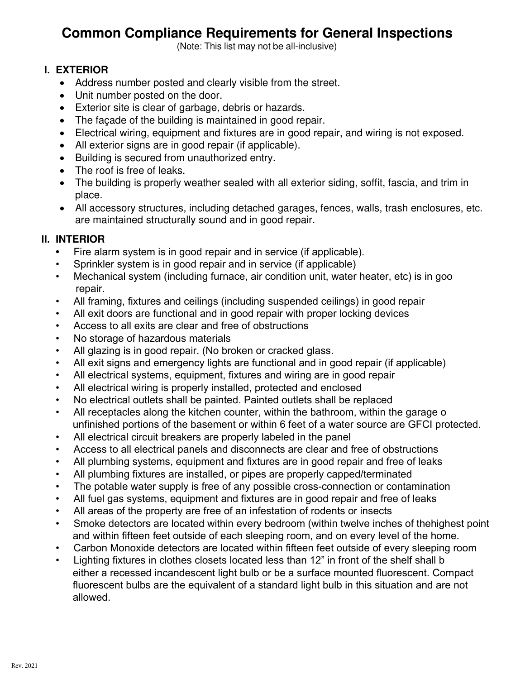## **Common Compliance Requirements for General Inspections**

(Note: This list may not be all-inclusive)

### **I. EXTERIOR**

- Address number posted and clearly visible from the street.
- Unit number posted on the door.
- Exterior site is clear of garbage, debris or hazards.
- The façade of the building is maintained in good repair.
- Electrical wiring, equipment and fixtures are in good repair, and wiring is not exposed.
- All exterior signs are in good repair (if applicable).
- Building is secured from unauthorized entry.
- The roof is free of leaks.
- The building is properly weather sealed with all exterior siding, soffit, fascia, and trim in place.
- All accessory structures, including detached garages, fences, walls, trash enclosures, etc. are maintained structurally sound and in good repair.

## **II. INTERIOR**

- **•** Fire alarm system is in good repair and in service (if applicable).
- Sprinkler system is in good repair and in service (if applicable)
- Mechanical system (including furnace, air condition unit, water heater, etc) is in goo repair.
- All framing, fixtures and ceilings (including suspended ceilings) in good repair
- All exit doors are functional and in good repair with proper locking devices
- Access to all exits are clear and free of obstructions
- No storage of hazardous materials
- All glazing is in good repair. (No broken or cracked glass.
- All exit signs and emergency lights are functional and in good repair (if applicable)
- All electrical systems, equipment, fixtures and wiring are in good repair
- All electrical wiring is properly installed, protected and enclosed
- No electrical outlets shall be painted. Painted outlets shall be replaced
- All receptacles along the kitchen counter, within the bathroom, within the garage o unfinished portions of the basement or within 6 feet of a water source are GFCI protected.
- All electrical circuit breakers are properly labeled in the panel
- Access to all electrical panels and disconnects are clear and free of obstructions
- All plumbing systems, equipment and fixtures are in good repair and free of leaks
- All plumbing fixtures are installed, or pipes are properly capped/terminated
- The potable water supply is free of any possible cross-connection or contamination
- All fuel gas systems, equipment and fixtures are in good repair and free of leaks
- All areas of the property are free of an infestation of rodents or insects
- Smoke detectors are located within every bedroom (within twelve inches of thehighest point and within fifteen feet outside of each sleeping room, and on every level of the home.
- Carbon Monoxide detectors are located within fifteen feet outside of every sleeping room
- Lighting fixtures in clothes closets located less than 12" in front of the shelf shall b either a recessed incandescent light bulb or be a surface mounted fluorescent. Compact fluorescent bulbs are the equivalent of a standard light bulb in this situation and are not allowed.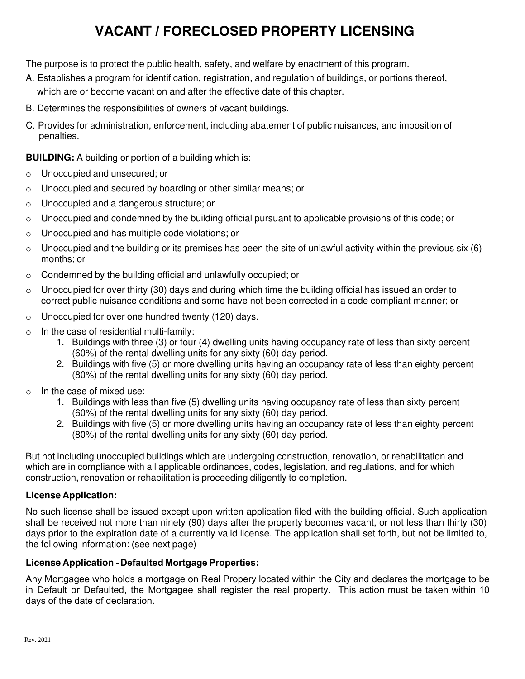# **VACANT / FORECLOSED PROPERTY LICENSING**

The purpose is to protect the public health, safety, and welfare by enactment of this program.

- A. Establishes a program for identification, registration, and regulation of buildings, or portions thereof, which are or become vacant on and after the effective date of this chapter.
- B. Determines the responsibilities of owners of vacant buildings.
- C. Provides for administration, enforcement, including abatement of public nuisances, and imposition of penalties.

**BUILDING:** A building or portion of a building which is:

- o Unoccupied and unsecured; or
- o Unoccupied and secured by boarding or other similar means; or
- o Unoccupied and a dangerous structure; or
- $\circ$  Unoccupied and condemned by the building official pursuant to applicable provisions of this code; or
- o Unoccupied and has multiple code violations; or
- $\circ$  Unoccupied and the building or its premises has been the site of unlawful activity within the previous six (6) months; or
- o Condemned by the building official and unlawfully occupied; or
- $\circ$  Unoccupied for over thirty (30) days and during which time the building official has issued an order to correct public nuisance conditions and some have not been corrected in a code compliant manner; or
- o Unoccupied for over one hundred twenty (120) days.
- o In the case of residential multi-family:
	- 1. Buildings with three (3) or four (4) dwelling units having occupancy rate of less than sixty percent (60%) of the rental dwelling units for any sixty (60) day period.
	- 2. Buildings with five (5) or more dwelling units having an occupancy rate of less than eighty percent (80%) of the rental dwelling units for any sixty (60) day period.
- o In the case of mixed use:
	- 1. Buildings with less than five (5) dwelling units having occupancy rate of less than sixty percent (60%) of the rental dwelling units for any sixty (60) day period.
	- 2. Buildings with five (5) or more dwelling units having an occupancy rate of less than eighty percent (80%) of the rental dwelling units for any sixty (60) day period.

But not including unoccupied buildings which are undergoing construction, renovation, or rehabilitation and which are in compliance with all applicable ordinances, codes, legislation, and regulations, and for which construction, renovation or rehabilitation is proceeding diligently to completion.

### **License Application:**

No such license shall be issued except upon written application filed with the building official. Such application shall be received not more than ninety (90) days after the property becomes vacant, or not less than thirty (30) days prior to the expiration date of a currently valid license. The application shall set forth, but not be limited to, the following information: (see next page)

### **License Application - Defaulted Mortgage Properties:**

Any Mortgagee who holds a mortgage on Real Propery located within the City and declares the mortgage to be in Default or Defaulted, the Mortgagee shall register the real property. This action must be taken within 10 days of the date of declaration.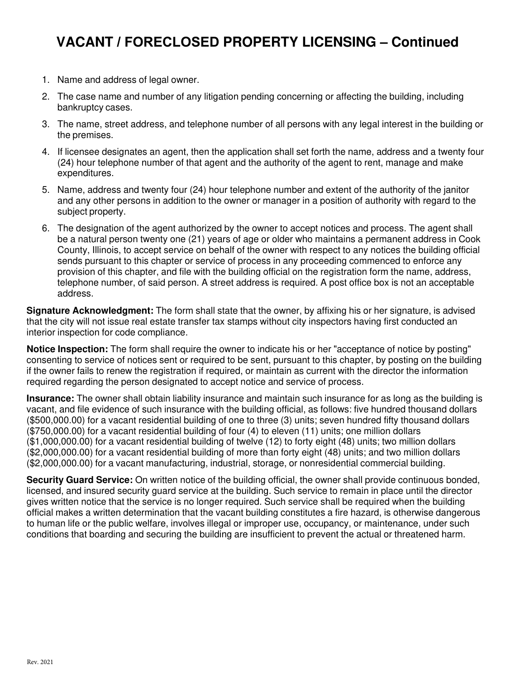## **VACANT / FORECLOSED PROPERTY LICENSING – Continued**

- 1. Name and address of legal owner.
- 2. The case name and number of any litigation pending concerning or affecting the building, including bankruptcy cases.
- 3. The name, street address, and telephone number of all persons with any legal interest in the building or the premises.
- 4. If licensee designates an agent, then the application shall set forth the name, address and a twenty four (24) hour telephone number of that agent and the authority of the agent to rent, manage and make expenditures.
- 5. Name, address and twenty four (24) hour telephone number and extent of the authority of the janitor and any other persons in addition to the owner or manager in a position of authority with regard to the subject property.
- 6. The designation of the agent authorized by the owner to accept notices and process. The agent shall be a natural person twenty one (21) years of age or older who maintains a permanent address in Cook County, Illinois, to accept service on behalf of the owner with respect to any notices the building official sends pursuant to this chapter or service of process in any proceeding commenced to enforce any provision of this chapter, and file with the building official on the registration form the name, address, telephone number, of said person. A street address is required. A post office box is not an acceptable address.

**Signature Acknowledgment:** The form shall state that the owner, by affixing his or her signature, is advised that the city will not issue real estate transfer tax stamps without city inspectors having first conducted an interior inspection for code compliance.

**Notice Inspection:** The form shall require the owner to indicate his or her "acceptance of notice by posting" consenting to service of notices sent or required to be sent, pursuant to this chapter, by posting on the building if the owner fails to renew the registration if required, or maintain as current with the director the information required regarding the person designated to accept notice and service of process.

**Insurance:** The owner shall obtain liability insurance and maintain such insurance for as long as the building is vacant, and file evidence of such insurance with the building official, as follows: five hundred thousand dollars (\$500,000.00) for a vacant residential building of one to three (3) units; seven hundred fifty thousand dollars (\$750,000.00) for a vacant residential building of four (4) to eleven (11) units; one million dollars (\$1,000,000.00) for a vacant residential building of twelve (12) to forty eight (48) units; two million dollars (\$2,000,000.00) for a vacant residential building of more than forty eight (48) units; and two million dollars (\$2,000,000.00) for a vacant manufacturing, industrial, storage, or nonresidential commercial building.

**Security Guard Service:** On written notice of the building official, the owner shall provide continuous bonded, licensed, and insured security guard service at the building. Such service to remain in place until the director gives written notice that the service is no longer required. Such service shall be required when the building official makes a written determination that the vacant building constitutes a fire hazard, is otherwise dangerous to human life or the public welfare, involves illegal or improper use, occupancy, or maintenance, under such conditions that boarding and securing the building are insufficient to prevent the actual or threatened harm.